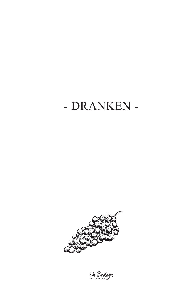# - DRANKEN -



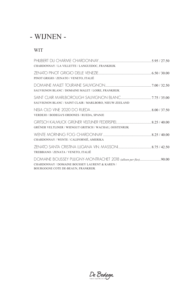# - WIJNEN -

### WIT

| CHARDONNAY / LA VILLETTE / LANGUEDOC, FRANKRIJK                                      |  |
|--------------------------------------------------------------------------------------|--|
| PINOT GRIGIO / ZENATO / VENETO, ITALIË                                               |  |
| SAUVIGNON BLANC / DOMAINE MALET / LOIRE, FRANKRIJK                                   |  |
| SAUVIGNON BLANC / SAINT CLAIR / MARLBORO, NIEUW-ZEELAND                              |  |
| VERDEJO / BODEGA'S ORDONES / RUEDA, SPANJE                                           |  |
| GRÜNER VELTLINER / WIENGUT GRITSCH / WACHAU, OOSTENRIJK                              |  |
| CHARDONNAY / WENTE / CALIFORNIË, AMERIKA                                             |  |
| TREBBIANO / ZENATA / VENETO, ITALIË                                                  |  |
| CHARDONNAY / DOMAINE BOUSSEY LAURENT & KAREN /<br>BOURGOGNE COTE DE-BEAUN, FRANKRIJK |  |

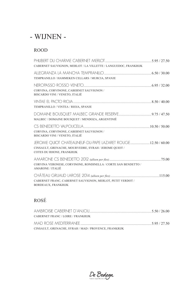# - WIJNEN -

### ROOD

| CABERNET SAUVIGNON, MERLOT / LA VILLETTE / LANGUEDOC, FRANKRIJK                    |  |
|------------------------------------------------------------------------------------|--|
| TEMPRANILLO / HAMMEKEN CELLARS / MURCIA, SPANJE                                    |  |
| CORVINA, CORVINONE, CABERNET SAUVIGNON /<br>BISCARDO VINI / VENETO, ITALIË         |  |
| TEMPRANILLO / VINTEA / RIOJA, SPANJE                                               |  |
| MALBEC / DOMAINE BOUSQUET / MENDOZA, ARGENTINIË                                    |  |
| CORVINA, CORVINONE, CABERNET SAUVIGNON /<br>BISCARDO VINI / VENETO, ITALIË         |  |
| CINSAULT, GRENACHE, MOURVEDRE, SYRAH / JEROME QUIOT /<br>COTES DU RHONE, FRANKRIJK |  |
| CORVINA VERONESE, CORVINONE, RONDINELLA / CORTE SAN BENDETTO /<br>AMARONE / ITALIË |  |
| CABERNET FRANC, CABERNET SAUVIGNON, MERLOT, PETIT VERDOT /<br>BORDEAUX, FRANKRIJK  |  |

### ROSÉ

| CABERNET FRANC / LOIRE / FRANKRIJK                    |              |
|-------------------------------------------------------|--------------|
| MAD ROSE MEDITERRANEE                                 | 5.95 / 27.50 |
| CINSAULT, GRENACHE, SYRAH / MAD / PROVENCE, FRANKRIJK |              |

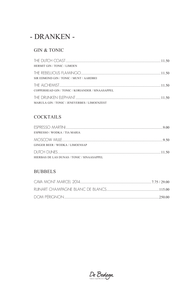# - DRANKEN -

#### **GIN & TONIC**

| <b>HERMIT GIN / TONIC / LIMOEN</b>               |       |
|--------------------------------------------------|-------|
| SIR EDMOND GIN / TONIC / MUNT / AARDBEI          |       |
| COPPERHEAD GIN / TONIC / KORIANDER / SINAASAPPEL | 11.50 |
| MARULA GIN / TONIC / JENEVERBES / LIMOENZEST     |       |

#### **COCKTAILS**

| ESPRESSO / WODKA / TIA MARIA               |  |
|--------------------------------------------|--|
|                                            |  |
| <b>GINGER BEER / WODKA / LIMOENSAP</b>     |  |
| HIERBAS DE LAS DUNAS / TONIC / SINAASAPPEL |  |

### **BUBBELS**

| CAVA MONT MARCEL 2014 | 7.75 / 29.00 |
|-----------------------|--------------|
|                       |              |
| DOM PÉRIGNON          | 250.00       |